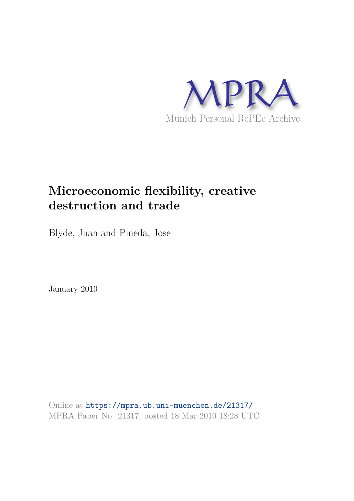

# **Microeconomic flexibility, creative destruction and trade**

Blyde, Juan and Pineda, Jose

January 2010

Online at https://mpra.ub.uni-muenchen.de/21317/ MPRA Paper No. 21317, posted 18 Mar 2010 18:28 UTC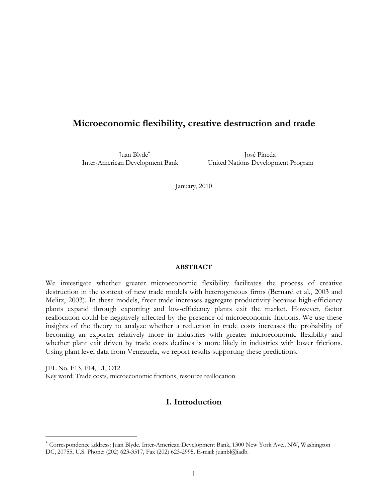# **Microeconomic flexibility, creative destruction and trade**

Juan Blyde<sup>∗</sup>

 José Pineda Inter-American Development Bank United Nations Development Program

January, 2010

#### **ABSTRACT**

We investigate whether greater microeconomic flexibility facilitates the process of creative destruction in the context of new trade models with heterogeneous firms (Bernard et al., 2003 and Melitz, 2003). In these models, freer trade increases aggregate productivity because high-efficiency plants expand through exporting and low-efficiency plants exit the market. However, factor reallocation could be negatively affected by the presence of microeconomic frictions. We use these insights of the theory to analyze whether a reduction in trade costs increases the probability of becoming an exporter relatively more in industries with greater microeconomic flexibility and whether plant exit driven by trade costs declines is more likely in industries with lower frictions. Using plant level data from Venezuela, we report results supporting these predictions.

JEL No. F13, F14, L1, O12 Key word: Trade costs, microeconomic frictions, resource reallocation

<u>.</u>

## **I. Introduction**

<sup>∗</sup> Correspondence address: Juan Blyde. Inter-American Development Bank, 1300 New York Ave., NW, Washington DC, 20755, U.S. Phone: (202) 623-3517, Fax (202) 623-2995. E-mail: juanbl@iadb.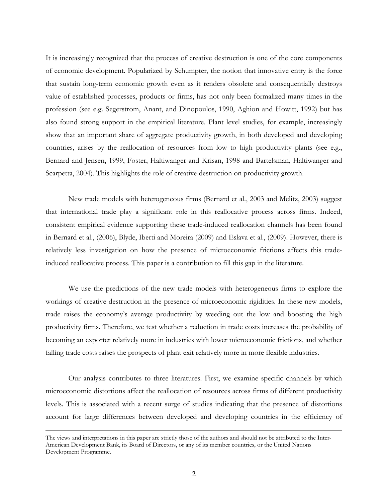It is increasingly recognized that the process of creative destruction is one of the core components of economic development. Popularized by Schumpter, the notion that innovative entry is the force that sustain long-term economic growth even as it renders obsolete and consequentially destroys value of established processes, products or firms, has not only been formalized many times in the profession (see e.g. Segerstrom, Anant, and Dinopoulos, 1990, Aghion and Howitt, 1992) but has also found strong support in the empirical literature. Plant level studies, for example, increasingly show that an important share of aggregate productivity growth, in both developed and developing countries, arises by the reallocation of resources from low to high productivity plants (see e.g., Bernard and Jensen, 1999, Foster, Haltiwanger and Krisan, 1998 and Bartelsman, Haltiwanger and Scarpetta, 2004). This highlights the role of creative destruction on productivity growth.

New trade models with heterogeneous firms (Bernard et al., 2003 and Melitz, 2003) suggest that international trade play a significant role in this reallocative process across firms. Indeed, consistent empirical evidence supporting these trade-induced reallocation channels has been found in Bernard et al., (2006), Blyde, Iberti and Moreira (2009) and Eslava et al., (2009). However, there is relatively less investigation on how the presence of microeconomic frictions affects this tradeinduced reallocative process. This paper is a contribution to fill this gap in the literature.

We use the predictions of the new trade models with heterogeneous firms to explore the workings of creative destruction in the presence of microeconomic rigidities. In these new models, trade raises the economy's average productivity by weeding out the low and boosting the high productivity firms. Therefore, we test whether a reduction in trade costs increases the probability of becoming an exporter relatively more in industries with lower microeconomic frictions, and whether falling trade costs raises the prospects of plant exit relatively more in more flexible industries.

Our analysis contributes to three literatures. First, we examine specific channels by which microeconomic distortions affect the reallocation of resources across firms of different productivity levels. This is associated with a recent surge of studies indicating that the presence of distortions account for large differences between developed and developing countries in the efficiency of

 $\overline{a}$ 

The views and interpretations in this paper are strictly those of the authors and should not be attributed to the Inter-American Development Bank, its Board of Directors, or any of its member countries, or the United Nations Development Programme.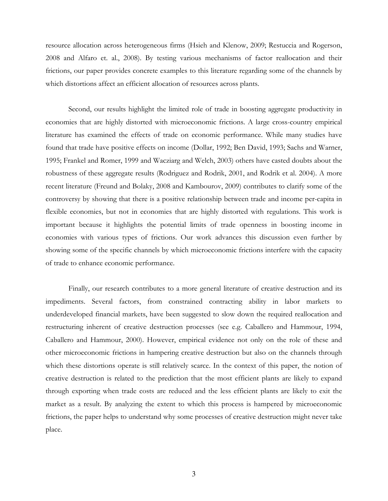resource allocation across heterogeneous firms (Hsieh and Klenow, 2009; Restuccia and Rogerson, 2008 and Alfaro et. al., 2008). By testing various mechanisms of factor reallocation and their frictions, our paper provides concrete examples to this literature regarding some of the channels by which distortions affect an efficient allocation of resources across plants.

Second, our results highlight the limited role of trade in boosting aggregate productivity in economies that are highly distorted with microeconomic frictions. A large cross-country empirical literature has examined the effects of trade on economic performance. While many studies have found that trade have positive effects on income (Dollar, 1992; Ben David, 1993; Sachs and Warner, 1995; Frankel and Romer, 1999 and Wacziarg and Welch, 2003) others have casted doubts about the robustness of these aggregate results (Rodriguez and Rodrik, 2001, and Rodrik et al. 2004). A more recent literature (Freund and Bolaky, 2008 and Kambourov, 2009) contributes to clarify some of the controversy by showing that there is a positive relationship between trade and income per-capita in flexible economies, but not in economies that are highly distorted with regulations. This work is important because it highlights the potential limits of trade openness in boosting income in economies with various types of frictions. Our work advances this discussion even further by showing some of the specific channels by which microeconomic frictions interfere with the capacity of trade to enhance economic performance.

Finally, our research contributes to a more general literature of creative destruction and its impediments. Several factors, from constrained contracting ability in labor markets to underdeveloped financial markets, have been suggested to slow down the required reallocation and restructuring inherent of creative destruction processes (see e.g. Caballero and Hammour, 1994, Caballero and Hammour, 2000). However, empirical evidence not only on the role of these and other microeconomic frictions in hampering creative destruction but also on the channels through which these distortions operate is still relatively scarce. In the context of this paper, the notion of creative destruction is related to the prediction that the most efficient plants are likely to expand through exporting when trade costs are reduced and the less efficient plants are likely to exit the market as a result. By analyzing the extent to which this process is hampered by microeconomic frictions, the paper helps to understand why some processes of creative destruction might never take place.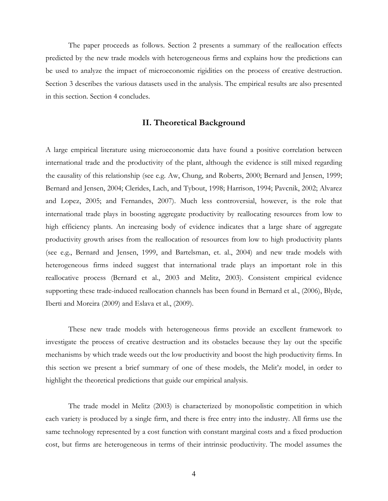The paper proceeds as follows. Section 2 presents a summary of the reallocation effects predicted by the new trade models with heterogeneous firms and explains how the predictions can be used to analyze the impact of microeconomic rigidities on the process of creative destruction. Section 3 describes the various datasets used in the analysis. The empirical results are also presented in this section. Section 4 concludes.

#### **II. Theoretical Background**

A large empirical literature using microeconomic data have found a positive correlation between international trade and the productivity of the plant, although the evidence is still mixed regarding the causality of this relationship (see e.g. Aw, Chung, and Roberts, 2000; Bernard and Jensen, 1999; Bernard and Jensen, 2004; Clerides, Lach, and Tybout, 1998; Harrison, 1994; Pavcnik, 2002; Alvarez and Lopez, 2005; and Fernandes, 2007). Much less controversial, however, is the role that international trade plays in boosting aggregate productivity by reallocating resources from low to high efficiency plants. An increasing body of evidence indicates that a large share of aggregate productivity growth arises from the reallocation of resources from low to high productivity plants (see e.g., Bernard and Jensen, 1999, and Bartelsman, et. al., 2004) and new trade models with heterogeneous firms indeed suggest that international trade plays an important role in this reallocative process (Bernard et al., 2003 and Melitz, 2003). Consistent empirical evidence supporting these trade-induced reallocation channels has been found in Bernard et al., (2006), Blyde, Iberti and Moreira (2009) and Eslava et al., (2009).

These new trade models with heterogeneous firms provide an excellent framework to investigate the process of creative destruction and its obstacles because they lay out the specific mechanisms by which trade weeds out the low productivity and boost the high productivity firms. In this section we present a brief summary of one of these models, the Melit'z model, in order to highlight the theoretical predictions that guide our empirical analysis.

The trade model in Melitz (2003) is characterized by monopolistic competition in which each variety is produced by a single firm, and there is free entry into the industry. All firms use the same technology represented by a cost function with constant marginal costs and a fixed production cost, but firms are heterogeneous in terms of their intrinsic productivity. The model assumes the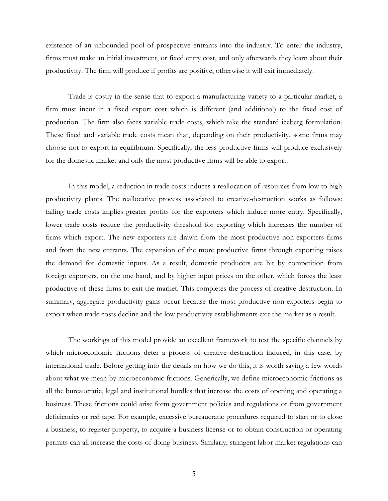existence of an unbounded pool of prospective entrants into the industry. To enter the industry, firms must make an initial investment, or fixed entry cost, and only afterwards they learn about their productivity. The firm will produce if profits are positive, otherwise it will exit immediately.

Trade is costly in the sense that to export a manufacturing variety to a particular market, a firm must incur in a fixed export cost which is different (and additional) to the fixed cost of production. The firm also faces variable trade costs, which take the standard iceberg formulation. These fixed and variable trade costs mean that, depending on their productivity, some firms may choose not to export in equilibrium. Specifically, the less productive firms will produce exclusively for the domestic market and only the most productive firms will be able to export.

In this model, a reduction in trade costs induces a reallocation of resources from low to high productivity plants. The reallocative process associated to creative-destruction works as follows: falling trade costs implies greater profits for the exporters which induce more entry. Specifically, lower trade costs reduce the productivity threshold for exporting which increases the number of firms which export. The new exporters are drawn from the most productive non-exporters firms and from the new entrants. The expansion of the more productive firms through exporting raises the demand for domestic inputs. As a result, domestic producers are hit by competition from foreign exporters, on the one hand, and by higher input prices on the other, which forces the least productive of these firms to exit the market. This completes the process of creative destruction. In summary, aggregate productivity gains occur because the most productive non-exporters begin to export when trade costs decline and the low productivity establishments exit the market as a result.

The workings of this model provide an excellent framework to test the specific channels by which microeconomic frictions deter a process of creative destruction induced, in this case, by international trade. Before getting into the details on how we do this, it is worth saying a few words about what we mean by microeconomic frictions. Generically, we define microeconomic frictions as all the bureaucratic, legal and institutional hurdles that increase the costs of opening and operating a business. These frictions could arise form government policies and regulations or from government deficiencies or red tape. For example, excessive bureaucratic procedures required to start or to close a business, to register property, to acquire a business license or to obtain construction or operating permits can all increase the costs of doing business. Similarly, stringent labor market regulations can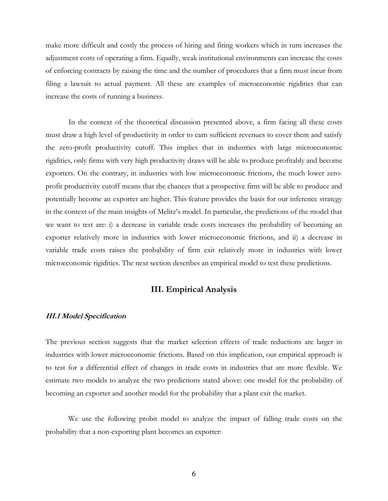make more difficult and costly the process of hiring and firing workers which in turn increases the adjustment costs of operating a firm. Equally, weak institutional environments can increase the costs of enforcing contracts by raising the time and the number of procedures that a firm must incur from filing a lawsuit to actual payment. All these are examples of microeconomic rigidities that can increase the costs of running a business.

In the context of the theoretical discussion presented above, a firm facing all these costs must draw a high level of productivity in order to earn sufficient revenues to cover them and satisfy the zero-profit productivity cutoff. This implies that in industries with large microeconomic rigidities, only firms with very high productivity draws will be able to produce profitably and become exporters. On the contrary, in industries with low microeconomic frictions, the much lower zeroprofit productivity cutoff means that the chances that a prospective firm will be able to produce and potentially become an exporter are higher. This feature provides the basis for our inference strategy in the context of the main insights of Melitz's model. In particular, the predictions of the model that we want to test are: i) a decrease in variable trade costs increases the probability of becoming an exporter relatively more in industries with lower microeconomic frictions, and ii) a decrease in variable trade costs raises the probability of firm exit relatively more in industries with lower microeconomic rigidities. The next section describes an empirical model to test these predictions.

## **III. Empirical Analysis**

## **III.1 Model Specification**

The previous section suggests that the market selection effects of trade reductions are larger in industries with lower microeconomic frictions. Based on this implication, our empirical approach is to test for a differential effect of changes in trade costs in industries that are more flexible. We estimate two models to analyze the two predictions stated above: one model for the probability of becoming an exporter and another model for the probability that a plant exit the market.

We use the following probit model to analyze the impact of falling trade costs on the probability that a non-exporting plant becomes an exporter: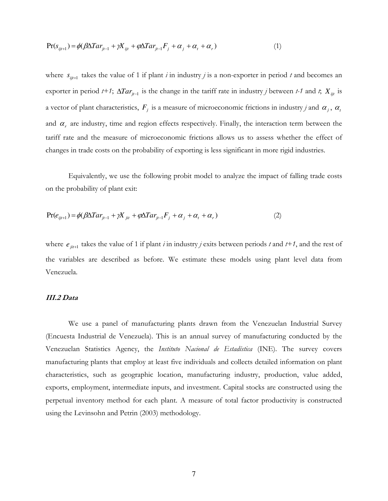$$
Pr(s_{ijt+1}) = \phi(\beta \Delta T a r_{jt-1} + \gamma X_{ijt} + \varphi \Delta T a r_{jt-1} F_j + \alpha_j + \alpha_t + \alpha_r)
$$
\n<sup>(1)</sup>

where  $s_{ijt+1}$  takes the value of 1 if plant *i* in industry *j* is a non-exporter in period *t* and becomes an exporter in period *t+1*;  $\Delta T a r_{jt-1}$  is the change in the tariff rate in industry *j* between *t-1* and *t*;  $X_{ijt}$  is a vector of plant characteristics,  $F_j$  is a measure of microeconomic frictions in industry *j* and  $\alpha_j$ ,  $\alpha_i$ and  $\alpha_r$  are industry, time and region effects respectively. Finally, the interaction term between the tariff rate and the measure of microeconomic frictions allows us to assess whether the effect of changes in trade costs on the probability of exporting is less significant in more rigid industries.

Equivalently, we use the following probit model to analyze the impact of falling trade costs on the probability of plant exit:

$$
Pr(e_{ijt+1}) = \phi(\beta \Delta T a r_{jt-1} + \gamma X_{jit} + \varphi \Delta T a r_{jt-1} F_j + \alpha_j + \alpha_t + \alpha_r)
$$
\n(2)

where  $e_{j i t+1}$  takes the value of 1 if plant *i* in industry *j* exits between periods *t* and *t*+1, and the rest of the variables are described as before. We estimate these models using plant level data from Venezuela.

#### **III.2 Data**

We use a panel of manufacturing plants drawn from the Venezuelan Industrial Survey (Encuesta Industrial de Venezuela). This is an annual survey of manufacturing conducted by the Venezuelan Statistics Agency, the *Instituto Nacional de Estadística* (INE). The survey covers manufacturing plants that employ at least five individuals and collects detailed information on plant characteristics, such as geographic location, manufacturing industry, production, value added, exports, employment, intermediate inputs, and investment. Capital stocks are constructed using the perpetual inventory method for each plant. A measure of total factor productivity is constructed using the Levinsohn and Petrin (2003) methodology.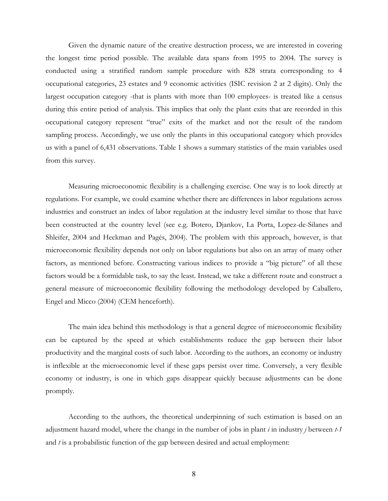Given the dynamic nature of the creative destruction process, we are interested in covering the longest time period possible. The available data spans from 1995 to 2004. The survey is conducted using a stratified random sample procedure with 828 strata corresponding to 4 occupational categories, 23 estates and 9 economic activities (ISIC revision 2 at 2 digits). Only the largest occupation category -that is plants with more than 100 employees- is treated like a census during this entire period of analysis. This implies that only the plant exits that are recorded in this occupational category represent "true" exits of the market and not the result of the random sampling process. Accordingly, we use only the plants in this occupational category which provides us with a panel of 6,431 observations. Table 1 shows a summary statistics of the main variables used from this survey.

Measuring microeconomic flexibility is a challenging exercise. One way is to look directly at regulations. For example, we could examine whether there are differences in labor regulations across industries and construct an index of labor regulation at the industry level similar to those that have been constructed at the country level (see e.g. Botero, Djankov, La Porta, Lopez-de-Silanes and Shleifer, 2004 and Heckman and Pagés, 2004). The problem with this approach, however, is that microeconomic flexibility depends not only on labor regulations but also on an array of many other factors, as mentioned before. Constructing various indices to provide a "big picture" of all these factors would be a formidable task, to say the least. Instead, we take a different route and construct a general measure of microeconomic flexibility following the methodology developed by Caballero, Engel and Micco (2004) (CEM henceforth).

The main idea behind this methodology is that a general degree of microeconomic flexibility can be captured by the speed at which establishments reduce the gap between their labor productivity and the marginal costs of such labor. According to the authors, an economy or industry is inflexible at the microeconomic level if these gaps persist over time. Conversely, a very flexible economy or industry, is one in which gaps disappear quickly because adjustments can be done promptly.

According to the authors, the theoretical underpinning of such estimation is based on an adjustment hazard model, where the change in the number of jobs in plant *i* in industry *j* between *t-1* and *t* is a probabilistic function of the gap between desired and actual employment: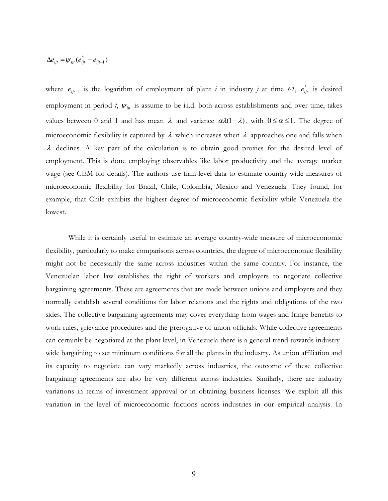$$
\Delta e_{ijt} = \psi_{ijt} (e_{ijt}^* - e_{ijt-1})
$$

where  $e_{ijt-1}$  is the logarithm of employment of plant *i* in industry *j* at time *t-1*,  $e_{ijt}^*$  is desired employment in period *t*,  $\psi_{ijt}$  is assume to be i.i.d. both across establishments and over time, takes values between 0 and 1 and has mean  $\lambda$  and variance  $\alpha\lambda(1-\lambda)$ , with  $0 \le \alpha \le 1$ . The degree of microeconomic flexibility is captured by  $\lambda$  which increases when  $\lambda$  approaches one and falls when  $\lambda$  declines. A key part of the calculation is to obtain good proxies for the desired level of employment. This is done employing observables like labor productivity and the average market wage (see CEM for details). The authors use firm-level data to estimate country-wide measures of microeconomic flexibility for Brazil, Chile, Colombia, Mexico and Venezuela. They found, for example, that Chile exhibits the highest degree of microeconomic flexibility while Venezuela the lowest.

While it is certainly useful to estimate an average country-wide measure of microeconomic flexibility, particularly to make comparisons across countries, the degree of microeconomic flexibility might not be necessarily the same across industries within the same country. For instance, the Venezuelan labor law establishes the right of workers and employers to negotiate collective bargaining agreements. These are agreements that are made between unions and employers and they normally establish several conditions for labor relations and the rights and obligations of the two sides. The collective bargaining agreements may cover everything from wages and fringe benefits to work rules, grievance procedures and the prerogative of union officials. While collective agreements can certainly be negotiated at the plant level, in Venezuela there is a general trend towards industrywide bargaining to set minimum conditions for all the plants in the industry. As union affiliation and its capacity to negotiate can vary markedly across industries, the outcome of these collective bargaining agreements are also be very different across industries. Similarly, there are industry variations in terms of investment approval or in obtaining business licenses. We exploit all this variation in the level of microeconomic frictions across industries in our empirical analysis. In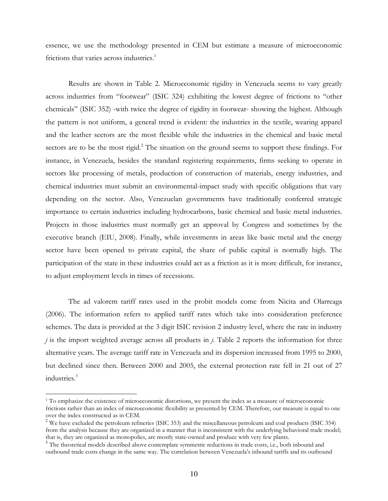essence, we use the methodology presented in CEM but estimate a measure of microeconomic frictions that varies across industries.<sup>1</sup>

Results are shown in Table 2. Microeconomic rigidity in Venezuela seems to vary greatly across industries from "footwear" (ISIC 324) exhibiting the lowest degree of frictions to "other chemicals" (ISIC 352) -with twice the degree of rigidity in footwear- showing the highest. Although the pattern is not uniform, a general trend is evident: the industries in the textile, wearing apparel and the leather sectors are the most flexible while the industries in the chemical and basic metal sectors are to be the most rigid.<sup>2</sup> The situation on the ground seems to support these findings. For instance, in Venezuela, besides the standard registering requirements, firms seeking to operate in sectors like processing of metals, production of construction of materials, energy industries, and chemical industries must submit an environmental-impact study with specific obligations that vary depending on the sector. Also, Venezuelan governments have traditionally conferred strategic importance to certain industries including hydrocarbons, basic chemical and basic metal industries. Projects in those industries must normally get an approval by Congress and sometimes by the executive branch (EIU, 2008). Finally, while investments in areas like basic metal and the energy sector have been opened to private capital, the share of public capital is normally high. The participation of the state in these industries could act as a friction as it is more difficult, for instance, to adjust employment levels in times of recessions.

The ad valorem tariff rates used in the probit models come from Nicita and Olarreaga (2006). The information refers to applied tariff rates which take into consideration preference schemes. The data is provided at the 3 digit ISIC revision 2 industry level, where the rate in industry *j* is the import weighted average across all products in *j*. Table 2 reports the information for three alternative years. The average tariff rate in Venezuela and its dispersion increased from 1995 to 2000, but declined since then. Between 2000 and 2005, the external protection rate fell in 21 out of 27 industries.<sup>3</sup>

<u>.</u>

<sup>&</sup>lt;sup>1</sup> To emphasize the existence of microeconomic distortions, we present the index as a measure of microeconomic frictions rather than an index of microeconomic flexibility as presented by CEM. Therefore, our measure is equal to one over the index constructed as in CEM.

 $2$  We have excluded the petroleum refineries (ISIC 353) and the miscellaneous petroleum and coal products (ISIC 354) from the analysis because they are organized in a manner that is inconsistent with the underlying behavioral trade model; that is, they are organized as monopolies, are mostly state-owned and produce with very few plants.

<sup>&</sup>lt;sup>3</sup> The theoretical models described above contemplate symmetric reductions in trade costs, i.e., both inbound and outbound trade costs change in the same way. The correlation between Venezuela's inbound tariffs and its outbound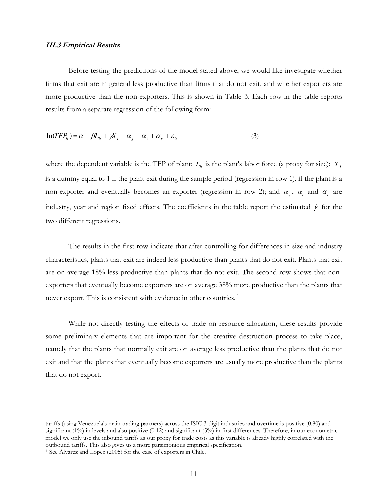#### **III.3 Empirical Results**

Before testing the predictions of the model stated above, we would like investigate whether firms that exit are in general less productive than firms that do not exit, and whether exporters are more productive than the non-exporters. This is shown in Table 3. Each row in the table reports results from a separate regression of the following form:

$$
\ln(TFP_{ii}) = \alpha + \beta L_{ii} + \gamma X_i + \alpha_j + \alpha_t + \alpha_r + \varepsilon_{it}
$$
\n(3)

where the dependent variable is the TFP of plant;  $L_i$  is the plant's labor force (a proxy for size);  $X_i$ is a dummy equal to 1 if the plant exit during the sample period (regression in row 1), if the plant is a non-exporter and eventually becomes an exporter (regression in row 2); and  $\alpha_j$ ,  $\alpha_t$  and  $\alpha_r$  are industry, year and region fixed effects. The coefficients in the table report the estimated  $\hat{\gamma}$  for the two different regressions.

The results in the first row indicate that after controlling for differences in size and industry characteristics, plants that exit are indeed less productive than plants that do not exit. Plants that exit are on average 18% less productive than plants that do not exit. The second row shows that nonexporters that eventually become exporters are on average 38% more productive than the plants that never export. This is consistent with evidence in other countries.<sup>4</sup>

While not directly testing the effects of trade on resource allocation, these results provide some preliminary elements that are important for the creative destruction process to take place, namely that the plants that normally exit are on average less productive than the plants that do not exit and that the plants that eventually become exporters are usually more productive than the plants that do not export.

<u>.</u>

tariffs (using Venezuela's main trading partners) across the ISIC 3-digit industries and overtime is positive (0.80) and significant (1%) in levels and also positive (0.12) and significant (5%) in first differences. Therefore, in our econometric model we only use the inbound tariffs as our proxy for trade costs as this variable is already highly correlated with the outbound tariffs. This also gives us a more parsimonious empirical specification.

<sup>4</sup> See Alvarez and Lopez (2005) for the case of exporters in Chile.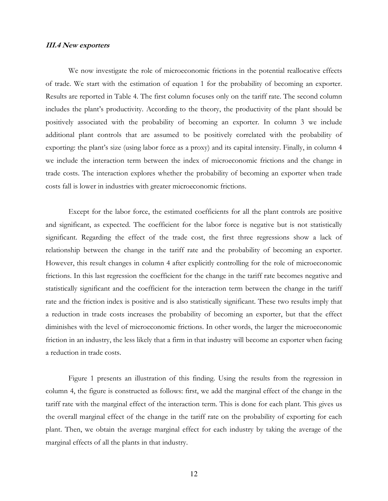#### **III.4 New exporters**

We now investigate the role of microeconomic frictions in the potential reallocative effects of trade. We start with the estimation of equation 1 for the probability of becoming an exporter. Results are reported in Table 4. The first column focuses only on the tariff rate. The second column includes the plant's productivity. According to the theory, the productivity of the plant should be positively associated with the probability of becoming an exporter. In column 3 we include additional plant controls that are assumed to be positively correlated with the probability of exporting: the plant's size (using labor force as a proxy) and its capital intensity. Finally, in column 4 we include the interaction term between the index of microeconomic frictions and the change in trade costs. The interaction explores whether the probability of becoming an exporter when trade costs fall is lower in industries with greater microeconomic frictions.

Except for the labor force, the estimated coefficients for all the plant controls are positive and significant, as expected. The coefficient for the labor force is negative but is not statistically significant. Regarding the effect of the trade cost, the first three regressions show a lack of relationship between the change in the tariff rate and the probability of becoming an exporter. However, this result changes in column 4 after explicitly controlling for the role of microeconomic frictions. In this last regression the coefficient for the change in the tariff rate becomes negative and statistically significant and the coefficient for the interaction term between the change in the tariff rate and the friction index is positive and is also statistically significant. These two results imply that a reduction in trade costs increases the probability of becoming an exporter, but that the effect diminishes with the level of microeconomic frictions. In other words, the larger the microeconomic friction in an industry, the less likely that a firm in that industry will become an exporter when facing a reduction in trade costs.

Figure 1 presents an illustration of this finding. Using the results from the regression in column 4, the figure is constructed as follows: first, we add the marginal effect of the change in the tariff rate with the marginal effect of the interaction term. This is done for each plant. This gives us the overall marginal effect of the change in the tariff rate on the probability of exporting for each plant. Then, we obtain the average marginal effect for each industry by taking the average of the marginal effects of all the plants in that industry.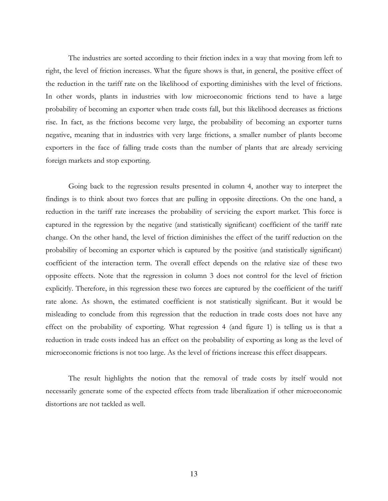The industries are sorted according to their friction index in a way that moving from left to right, the level of friction increases. What the figure shows is that, in general, the positive effect of the reduction in the tariff rate on the likelihood of exporting diminishes with the level of frictions. In other words, plants in industries with low microeconomic frictions tend to have a large probability of becoming an exporter when trade costs fall, but this likelihood decreases as frictions rise. In fact, as the frictions become very large, the probability of becoming an exporter turns negative, meaning that in industries with very large frictions, a smaller number of plants become exporters in the face of falling trade costs than the number of plants that are already servicing foreign markets and stop exporting.

Going back to the regression results presented in column 4, another way to interpret the findings is to think about two forces that are pulling in opposite directions. On the one hand, a reduction in the tariff rate increases the probability of servicing the export market. This force is captured in the regression by the negative (and statistically significant) coefficient of the tariff rate change. On the other hand, the level of friction diminishes the effect of the tariff reduction on the probability of becoming an exporter which is captured by the positive (and statistically significant) coefficient of the interaction term. The overall effect depends on the relative size of these two opposite effects. Note that the regression in column 3 does not control for the level of friction explicitly. Therefore, in this regression these two forces are captured by the coefficient of the tariff rate alone. As shown, the estimated coefficient is not statistically significant. But it would be misleading to conclude from this regression that the reduction in trade costs does not have any effect on the probability of exporting. What regression 4 (and figure 1) is telling us is that a reduction in trade costs indeed has an effect on the probability of exporting as long as the level of microeconomic frictions is not too large. As the level of frictions increase this effect disappears.

The result highlights the notion that the removal of trade costs by itself would not necessarily generate some of the expected effects from trade liberalization if other microeconomic distortions are not tackled as well.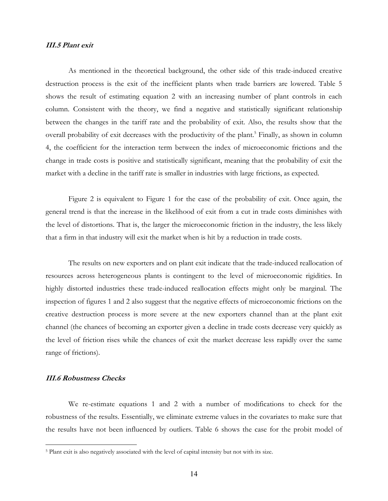#### **III.5 Plant exit**

As mentioned in the theoretical background, the other side of this trade-induced creative destruction process is the exit of the inefficient plants when trade barriers are lowered. Table 5 shows the result of estimating equation 2 with an increasing number of plant controls in each column. Consistent with the theory, we find a negative and statistically significant relationship between the changes in the tariff rate and the probability of exit. Also, the results show that the overall probability of exit decreases with the productivity of the plant.<sup>5</sup> Finally, as shown in column 4, the coefficient for the interaction term between the index of microeconomic frictions and the change in trade costs is positive and statistically significant, meaning that the probability of exit the market with a decline in the tariff rate is smaller in industries with large frictions, as expected.

Figure 2 is equivalent to Figure 1 for the case of the probability of exit. Once again, the general trend is that the increase in the likelihood of exit from a cut in trade costs diminishes with the level of distortions. That is, the larger the microeconomic friction in the industry, the less likely that a firm in that industry will exit the market when is hit by a reduction in trade costs.

The results on new exporters and on plant exit indicate that the trade-induced reallocation of resources across heterogeneous plants is contingent to the level of microeconomic rigidities. In highly distorted industries these trade-induced reallocation effects might only be marginal. The inspection of figures 1 and 2 also suggest that the negative effects of microeconomic frictions on the creative destruction process is more severe at the new exporters channel than at the plant exit channel (the chances of becoming an exporter given a decline in trade costs decrease very quickly as the level of friction rises while the chances of exit the market decrease less rapidly over the same range of frictions).

### **III.6 Robustness Checks**

 $\overline{a}$ 

We re-estimate equations 1 and 2 with a number of modifications to check for the robustness of the results. Essentially, we eliminate extreme values in the covariates to make sure that the results have not been influenced by outliers. Table 6 shows the case for the probit model of

<sup>&</sup>lt;sup>5</sup> Plant exit is also negatively associated with the level of capital intensity but not with its size.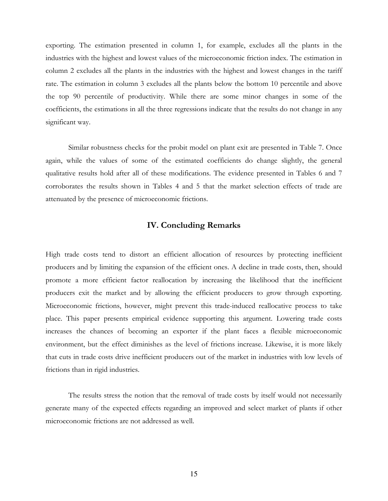exporting. The estimation presented in column 1, for example, excludes all the plants in the industries with the highest and lowest values of the microeconomic friction index. The estimation in column 2 excludes all the plants in the industries with the highest and lowest changes in the tariff rate. The estimation in column 3 excludes all the plants below the bottom 10 percentile and above the top 90 percentile of productivity. While there are some minor changes in some of the coefficients, the estimations in all the three regressions indicate that the results do not change in any significant way.

Similar robustness checks for the probit model on plant exit are presented in Table 7. Once again, while the values of some of the estimated coefficients do change slightly, the general qualitative results hold after all of these modifications. The evidence presented in Tables 6 and 7 corroborates the results shown in Tables 4 and 5 that the market selection effects of trade are attenuated by the presence of microeconomic frictions.

### **IV. Concluding Remarks**

High trade costs tend to distort an efficient allocation of resources by protecting inefficient producers and by limiting the expansion of the efficient ones. A decline in trade costs, then, should promote a more efficient factor reallocation by increasing the likelihood that the inefficient producers exit the market and by allowing the efficient producers to grow through exporting. Microeconomic frictions, however, might prevent this trade-induced reallocative process to take place. This paper presents empirical evidence supporting this argument. Lowering trade costs increases the chances of becoming an exporter if the plant faces a flexible microeconomic environment, but the effect diminishes as the level of frictions increase. Likewise, it is more likely that cuts in trade costs drive inefficient producers out of the market in industries with low levels of frictions than in rigid industries.

The results stress the notion that the removal of trade costs by itself would not necessarily generate many of the expected effects regarding an improved and select market of plants if other microeconomic frictions are not addressed as well.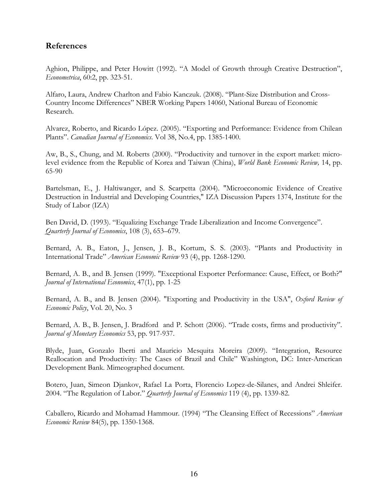# **References**

Aghion, Philippe, and Peter Howitt (1992). "A Model of Growth through Creative Destruction", *Econometrica*, 60:2, pp. 323-51.

Alfaro, Laura, Andrew Charlton and Fabio Kanczuk. (2008). "Plant-Size Distribution and Cross-Country Income Differences" NBER Working Papers 14060, National Bureau of Economic Research.

Alvarez, Roberto, and Ricardo López. (2005). "Exporting and Performance: Evidence from Chilean Plants". *Canadian Journal of Economics*. Vol 38, No.4, pp. 1385-1400.

Aw, B., S., Chung, and M. Roberts (2000). "Productivity and turnover in the export market: microlevel evidence from the Republic of Korea and Taiwan (China), *World Bank Economic Review,* 14, pp. 65-90

Bartelsman, E., J. Haltiwanger, and S. Scarpetta (2004). "Microeconomic Evidence of Creative Destruction in Industrial and Developing Countries," IZA Discussion Papers 1374, Institute for the Study of Labor (IZA)

Ben David, D. (1993). "Equalizing Exchange Trade Liberalization and Income Convergence". *Quarterly Journal of Economics*, 108 (3), 653–679.

Bernard, A. B., Eaton, J., Jensen, J. B., Kortum, S. S. (2003). "Plants and Productivity in International Trade" *American Economic Review* 93 (4), pp. 1268-1290.

Bernard, A. B., and B. Jensen (1999). "Exceptional Exporter Performance: Cause, Effect, or Both?" *Journal of International Economics*, 47(1), pp. 1-25

Bernard, A. B., and B. Jensen (2004). "Exporting and Productivity in the USA", *Oxford Review of Economic Policy*, Vol. 20, No. 3

Bernard, A. B., B. Jensen, J. Bradford and P. Schott (2006). "Trade costs, firms and productivity". *Journal of Monetary Economics* 53, pp. 917-937.

Blyde, Juan, Gonzalo Iberti and Mauricio Mesquita Moreira (2009). "Integration, Resource Reallocation and Productivity: The Cases of Brazil and Chile" Washington, DC: Inter-American Development Bank. Mimeographed document.

Botero, Juan, Simeon Djankov, Rafael La Porta, Florencio Lopez-de-Silanes, and Andrei Shleifer. 2004. "The Regulation of Labor." *Quarterly Journal of Economics* 119 (4), pp. 1339-82.

Caballero, Ricardo and Mohamad Hammour. (1994) "The Cleansing Effect of Recessions" *American Economic Review* 84(5), pp. 1350-1368.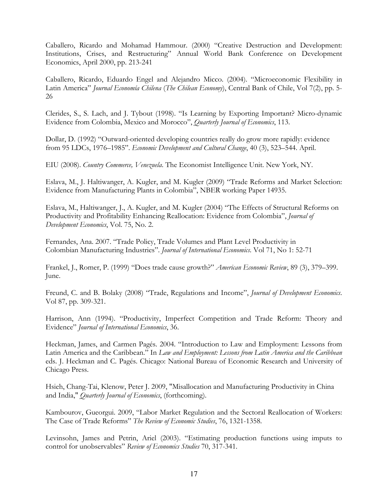Caballero, Ricardo and Mohamad Hammour. (2000) "Creative Destruction and Development: Institutions, Crises, and Restructuring" Annual World Bank Conference on Development Economics, April 2000, pp. 213-241

Caballero, Ricardo, Eduardo Engel and Alejandro Micco. (2004). "Microeconomic Flexibility in Latin America" *Journal Economía Chilena* (*The Chilean Economy*), Central Bank of Chile, Vol 7(2), pp. 5- 26

Clerides, S., S. Lach, and J. Tybout (1998). "Is Learning by Exporting Important? Micro-dynamic Evidence from Colombia, Mexico and Morocco", *Quarterly Journal of Economics*, 113.

Dollar, D. (1992) "Outward-oriented developing countries really do grow more rapidly: evidence from 95 LDCs, 1976–1985". *Economic Development and Cultural Change*, 40 (3), 523–544. April.

EIU (2008). *Country Commerce, Venezuela*. The Economist Intelligence Unit. New York, NY.

Eslava, M., J. Haltiwanger, A. Kugler, and M. Kugler (2009) "Trade Reforms and Market Selection: Evidence from Manufacturing Plants in Colombia", NBER working Paper 14935.

Eslava, M., Haltiwanger, J., A. Kugler, and M. Kugler (2004) "The Effects of Structural Reforms on Productivity and Profitability Enhancing Reallocation: Evidence from Colombia", *Journal of Development Economics*, Vol. 75, No. 2.

Fernandes, Ana. 2007. "Trade Policy, Trade Volumes and Plant Level Productivity in Colombian Manufacturing Industries". *Journal of International Economics*. Vol 71, No 1: 52-71

Frankel, J., Romer, P. (1999) "Does trade cause growth?" *American Economic Review*, 89 (3), 379–399. June.

Freund, C. and B. Bolaky (2008) "Trade, Regulations and Income", *Journal of Development Economics*. Vol 87, pp. 309-321.

Harrison, Ann (1994). "Productivity, Imperfect Competition and Trade Reform: Theory and Evidence" *Journal of International Economics*, 36.

Heckman, James, and Carmen Pagés. 2004. "Introduction to Law and Employment: Lessons from Latin America and the Caribbean." In *Law and Employment: Lessons from Latin America and the Caribbean*  eds. J. Heckman and C. Pagés. Chicago: National Bureau of Economic Research and University of Chicago Press.

Hsieh, Chang-Tai, Klenow, Peter J. 2009, "Misallocation and Manufacturing Productivity in China and India," *Quarterly Journal of Economics*, (forthcoming).

Kambourov, Gueorgui. 2009, "Labor Market Regulation and the Sectoral Reallocation of Workers: The Case of Trade Reforms" *The Review of Economic Studies*, 76, 1321-1358.

Levinsohn, James and Petrin, Ariel (2003). "Estimating production functions using imputs to control for unobservables" *Review of Economics Studies* 70, 317-341.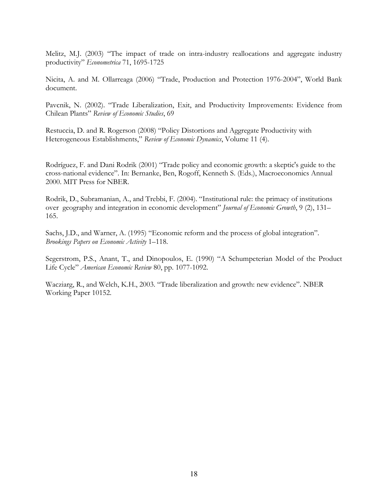Melitz, M.J. (2003) "The impact of trade on intra-industry reallocations and aggregate industry productivity" *Econometrica* 71, 1695-1725

Nicita, A. and M. Ollarreaga (2006) "Trade, Production and Protection 1976-2004", World Bank document.

Pavcnik, N. (2002). "Trade Liberalization, Exit, and Productivity Improvements: Evidence from Chilean Plants" *Review of Economic Studies*, 69

Restuccia, D. and R. Rogerson (2008) "Policy Distortions and Aggregate Productivity with Heterogeneous Establishments," *Review of Economic Dynamics*, Volume 11 (4).

Rodríguez, F. and Dani Rodrik (2001) "Trade policy and economic growth: a skeptic's guide to the cross-national evidence". In: Bernanke, Ben, Rogoff, Kenneth S. (Eds.), Macroeconomics Annual 2000. MIT Press for NBER.

Rodrik, D., Subramanian, A., and Trebbi, F. (2004). "Institutional rule: the primacy of institutions over geography and integration in economic development" *Journal of Economic Growth*, 9 (2), 131– 165.

Sachs, J.D., and Warner, A. (1995) "Economic reform and the process of global integration". *Brookings Papers on Economic Activity* 1–118.

Segerstrom, P.S., Anant, T., and Dinopoulos, E. (1990) "A Schumpeterian Model of the Product Life Cycle" *American Economic Review* 80, pp. 1077-1092.

Wacziarg, R., and Welch, K.H., 2003. "Trade liberalization and growth: new evidence". NBER Working Paper 10152.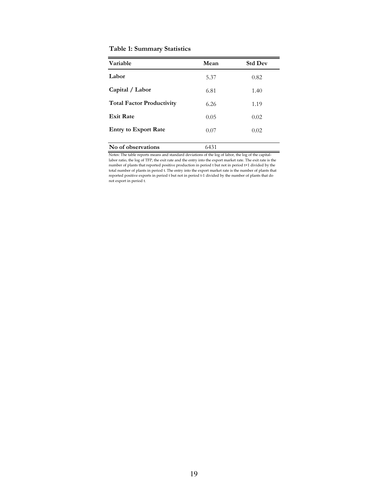#### **Table 1: Summary Statistics**

| Variable                         | Mean | <b>Std Dev</b> |
|----------------------------------|------|----------------|
| Labor                            | 5.37 | 0.82           |
| Capital / Labor                  | 6.81 | 1.40           |
| <b>Total Factor Productivity</b> | 6.26 | 1.19           |
| <b>Exit Rate</b>                 | 0.05 | 0.02           |
| <b>Entry to Export Rate</b>      | 0.07 | 0.02           |
| No of observations               | 6431 |                |

Notes: The table reports means and standard deviations of the log of labor, the log of the capitallabor ratio, the log of TFP, the exit rate and the entry into the export market rate. The exit rate is the number of plants that reported positive production in period t but not in period t+1 divided by the total number of plants in period t. The entry into the export market rate is the number of plants that reported positive exports in period t but not in period t-1 divided by the number of plants that do not export in period t.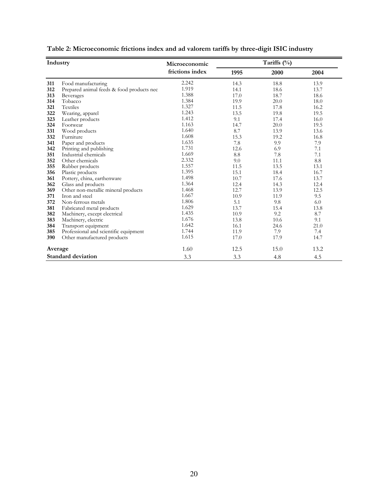| Industry |                                           | Tariffs (%)<br>Microeconomic |      |      |      |
|----------|-------------------------------------------|------------------------------|------|------|------|
|          |                                           | frictions index              | 1995 | 2000 | 2004 |
| 311      | Food manufacturing                        | 2.242                        | 14.3 | 18.8 | 13.9 |
| 312      | Prepared animal feeds & food products nec | 1.919                        | 14.1 | 18.6 | 13.7 |
| 313      | <b>Beverages</b>                          | 1.388                        | 17.0 | 18.7 | 18.6 |
| 314      | Tobacco                                   | 1.384                        | 19.9 | 20.0 | 18.0 |
| 321      | Textiles                                  | 1.327                        | 11.5 | 17.8 | 16.2 |
| 322      | Wearing, apparel                          | 1.243                        | 13.5 | 19.8 | 19.5 |
| 323      | Leather products                          | 1.412                        | 9.1  | 17.4 | 16.0 |
| 324      | Footwear                                  | 1.163                        | 14.7 | 20.0 | 19.5 |
| 331      | Wood products                             | 1.640                        | 8.7  | 13.9 | 13.6 |
| 332      | Furniture                                 | 1.608                        | 15.3 | 19.2 | 16.8 |
| 341      | Paper and products                        | 1.635                        | 7.8  | 9.9  | 7.9  |
| 342      | Printing and publishing                   | 1.731                        | 12.6 | 6.9  | 7.1  |
| 351      | Industrial chemicals                      | 1.669                        | 8.8  | 7.8  | 7.1  |
| 352      | Other chemicals                           | 2.332                        | 9.0  | 11.1 | 8.8  |
| 355      | Rubber products                           | 1.557                        | 11.5 | 13.5 | 13.1 |
| 356      | Plastic products                          | 1.395                        | 15.1 | 18.4 | 16.7 |
| 361      | Pottery, china, earthenware               | 1.498                        | 10.7 | 17.6 | 13.7 |
| 362      | Glass and products                        | 1.364                        | 12.4 | 14.3 | 12.4 |
| 369      | Other non-metallic mineral products       | 1.468                        | 12.7 | 13.9 | 12.5 |
| 371      | Iron and steel                            | 1.667                        | 10.9 | 11.9 | 9.5  |
| 372      | Non-ferrous metals                        | 1.806                        | 5.1  | 9.8  | 6.0  |
| 381      | Fabricated metal products                 | 1.629                        | 13.7 | 15.4 | 13.8 |
| 382      | Machinery, except electrical              | 1.435                        | 10.9 | 9.2  | 8.7  |
| 383      | Machinery, electric                       | 1.676                        | 13.8 | 10.6 | 9.1  |
| 384      | Transport equipment                       | 1.642                        | 16.1 | 24.6 | 21.0 |
| 385      | Professional and scientific equipment     | 1.744                        | 11.9 | 7.9  | 7.4  |
| 390      | Other manufactured products               | 1.615                        | 17.0 | 17.9 | 14.7 |
| Average  |                                           | 1.60                         | 12.5 | 15.0 | 13.2 |
|          | <b>Standard deviation</b>                 | 3.3                          | 3.3  | 4.8  | 4.5  |

| Table 2: Microeconomic frictions index and ad valorem tariffs by three-digit ISIC industry |  |  |  |  |
|--------------------------------------------------------------------------------------------|--|--|--|--|
|--------------------------------------------------------------------------------------------|--|--|--|--|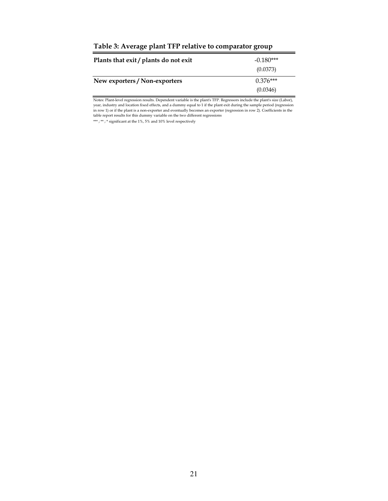| Table 5. Avenage plant TIT Telative to comparator group |                         |  |  |
|---------------------------------------------------------|-------------------------|--|--|
| Plants that exit / plants do not exit                   | $-0.180***$<br>(0.0373) |  |  |
| New exporters / Non-exporters                           | $0.376***$              |  |  |
|                                                         | (0.0346)                |  |  |

**Table 3: Average plant TFP relative to comparator group**

Notes: Plant-level regression results. Dependent variable is the plant's TFP. Regressors include the plant's size (Labor), year, industry and location fixed effects, and a dummy equal to 1 if the plant exit during the sample period (regression in row 1) or if the plant is a non-exporter and eventually becomes an exporter (regression in row 2). Coefficients in the table report results for this dummy variable on the two different regressions

 $\stackrel{\text{\tiny{***}}}{\text{\tiny{***}}}$  ;  $\stackrel{\text{\tiny{**}}}{\text{\tiny{}}}$  ;  $\stackrel{\text{\tiny{**}}}{\text{\tiny{}}}$  significant at the 1%, 5% and 10% level respectively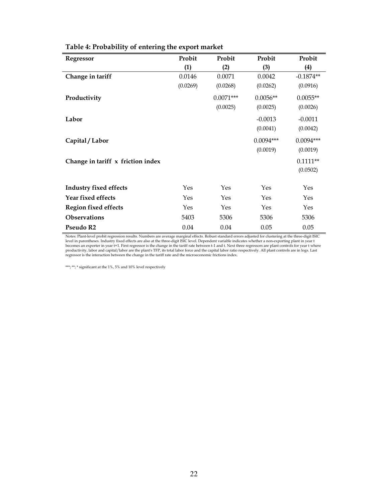| <b>Regressor</b>                  | Probit   | Probit      | Probit      | Probit      |
|-----------------------------------|----------|-------------|-------------|-------------|
|                                   | (1)      | (2)         | (3)         | (4)         |
| Change in tariff                  | 0.0146   | 0.0071      | 0.0042      | $-0.1874**$ |
|                                   | (0.0269) | (0.0268)    | (0.0262)    | (0.0916)    |
| Productivity                      |          | $0.0071***$ | $0.0056**$  | $0.0055**$  |
|                                   |          | (0.0025)    | (0.0025)    | (0.0026)    |
| Labor                             |          |             | $-0.0013$   | $-0.0011$   |
|                                   |          |             | (0.0041)    | (0.0042)    |
| Capital / Labor                   |          |             | $0.0094***$ | $0.0094***$ |
|                                   |          |             | (0.0019)    | (0.0019)    |
| Change in tariff x friction index |          |             |             | $0.1111**$  |
|                                   |          |             |             | (0.0502)    |
| <b>Industry fixed effects</b>     | Yes      | Yes         | Yes         | Yes         |
| Year fixed effects                | Yes      | Yes         | Yes         | Yes         |
|                                   | Yes      | Yes         | Yes         | Yes         |
| <b>Region fixed effects</b>       |          |             |             |             |
| <b>Observations</b>               | 5403     | 5306        | 5306        | 5306        |
| Pseudo R2                         | 0.04     | 0.04        | 0.05        | 0.05        |

# **Table 4: Probability of entering the export market**

Notes: Plant-level probit regression results. Numbers are average marginal effects. Robust standard errors adjusted for clustering at the three-digit ISIC<br>level in parentheses. Industry fixed effects are also at the three-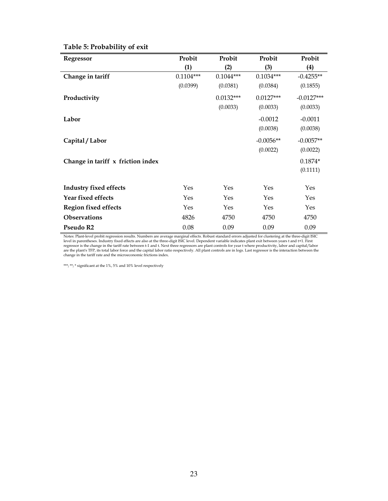| Regressor                         | Probit      | Probit      | Probit      | Probit       |
|-----------------------------------|-------------|-------------|-------------|--------------|
|                                   | (1)         | (2)         | (3)         | (4)          |
| Change in tariff                  | $0.1104***$ | $0.1044***$ | $0.1034***$ | $-0.4255**$  |
|                                   | (0.0399)    | (0.0381)    | (0.0384)    | (0.1855)     |
| Productivity                      |             | $0.0132***$ | $0.0127***$ | $-0.0127***$ |
|                                   |             | (0.0033)    | (0.0033)    | (0.0033)     |
| Labor                             |             |             | $-0.0012$   | $-0.0011$    |
|                                   |             |             | (0.0038)    | (0.0038)     |
| Capital / Labor                   |             |             | $-0.0056**$ | $-0.0057**$  |
|                                   |             |             | (0.0022)    | (0.0022)     |
| Change in tariff x friction index |             |             |             | $0.1874*$    |
|                                   |             |             |             | (0.1111)     |
| <b>Industry fixed effects</b>     | Yes         | Yes         | Yes         | Yes          |
|                                   |             |             |             |              |
| Year fixed effects                | Yes         | Yes         | Yes         | Yes          |
| <b>Region fixed effects</b>       | Yes         | Yes         | Yes         | Yes          |
| <b>Observations</b>               | 4826        | 4750        | 4750        | 4750         |
| Pseudo R2                         | 0.08        | 0.09        | 0.09        | 0.09         |

# **Table 5: Probability of exit**

Notes: Plant-level probit regression results. Numbers are average marginal effects. Robust standard errors adjusted for clustering at the three-digit ISIC<br>level in parentheses. Industry fixed effects are also at the three-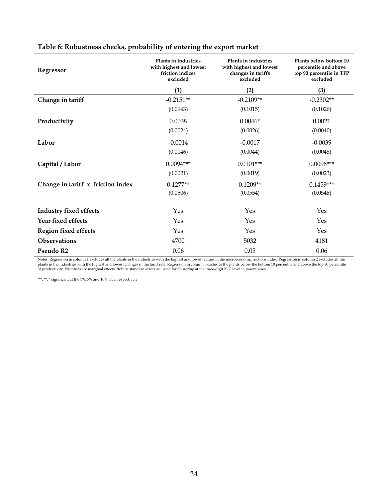| Regressor                         | Plants in industries<br>with highest and lowest<br>friction indices<br>excluded | Plants in industries<br>with highest and lowest<br>changes in tariffs<br>excluded | Plants below bottom 10<br>percentile and above<br>top 90 percentile in TFP<br>excluded |  |
|-----------------------------------|---------------------------------------------------------------------------------|-----------------------------------------------------------------------------------|----------------------------------------------------------------------------------------|--|
|                                   | (1)                                                                             | (2)                                                                               | (3)                                                                                    |  |
| Change in tariff                  | $-0.2151**$                                                                     | $-0.2109**$                                                                       | $-0.2302**$                                                                            |  |
|                                   | (0.0943)                                                                        | (0.1015)                                                                          | (0.1026)                                                                               |  |
| Productivity                      | 0.0038                                                                          | $0.0046*$                                                                         | 0.0021                                                                                 |  |
|                                   | (0.0024)                                                                        | (0.0026)                                                                          | (0.0040)                                                                               |  |
| Labor                             | $-0.0014$                                                                       | $-0.0017$                                                                         | $-0.0039$                                                                              |  |
|                                   | (0.0046)                                                                        | (0.0044)                                                                          | (0.0048)                                                                               |  |
| Capital / Labor                   | $0.0094***$                                                                     | $0.0101***$                                                                       | $0.0096***$                                                                            |  |
|                                   | (0.0021)                                                                        | (0.0019)                                                                          | (0.0023)                                                                               |  |
| Change in tariff x friction index | $0.1277**$                                                                      | $0.1209**$                                                                        | $0.1459***$                                                                            |  |
|                                   | (0.0506)                                                                        | (0.0554)                                                                          | (0.0546)                                                                               |  |
| <b>Industry fixed effects</b>     | Yes                                                                             | Yes                                                                               | Yes                                                                                    |  |
| Year fixed effects                | Yes                                                                             | Yes                                                                               | Yes                                                                                    |  |
| <b>Region fixed effects</b>       | Yes                                                                             | Yes                                                                               | Yes                                                                                    |  |
| <b>Observations</b>               | 4700                                                                            | 5032                                                                              | 4181                                                                                   |  |
| Pseudo R2                         | 0.06                                                                            | 0.05                                                                              | 0.06                                                                                   |  |

# **Table 6: Robustness checks, probability of entering the export market**

Notes: Regression in column 1 excludes all the plants in the industries with the highest and lowest values in the microeconomic frictions index. Regression in column 2 excludes all the<br>plants in the industries with the hig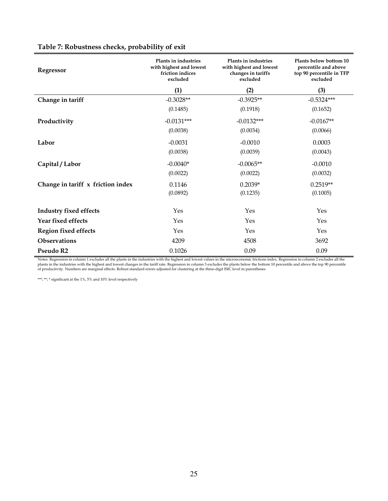| Regressor                         | Plants in industries<br>with highest and lowest<br>friction indices<br>excluded | Plants in industries<br>with highest and lowest<br>changes in tariffs<br>excluded | Plants below bottom 10<br>percentile and above<br>top 90 percentile in TFP<br>excluded |
|-----------------------------------|---------------------------------------------------------------------------------|-----------------------------------------------------------------------------------|----------------------------------------------------------------------------------------|
|                                   | (1)                                                                             | (2)                                                                               | (3)                                                                                    |
| Change in tariff                  | $-0.3028**$                                                                     | $-0.3925**$                                                                       | $-0.5324***$                                                                           |
|                                   | (0.1485)                                                                        | (0.1918)                                                                          | (0.1652)                                                                               |
| Productivity                      | $-0.0131***$                                                                    | $-0.0132***$                                                                      | $-0.0167**$                                                                            |
|                                   | (0.0038)                                                                        | (0.0034)                                                                          | (0.0066)                                                                               |
| Labor                             | $-0.0031$                                                                       | $-0.0010$                                                                         | 0.0003                                                                                 |
|                                   | (0.0038)                                                                        | (0.0039)                                                                          | (0.0043)                                                                               |
| Capital / Labor                   | $-0.0040*$                                                                      | $-0.0065**$                                                                       | $-0.0010$                                                                              |
|                                   | (0.0022)                                                                        | (0.0022)                                                                          | (0.0032)                                                                               |
| Change in tariff x friction index | 0.1146                                                                          | $0.2039*$                                                                         | $0.2519**$                                                                             |
|                                   | (0.0892)                                                                        | (0.1235)                                                                          | (0.1005)                                                                               |
| <b>Industry fixed effects</b>     | Yes                                                                             | Yes                                                                               | Yes                                                                                    |
| Year fixed effects                | Yes                                                                             | Yes                                                                               | Yes                                                                                    |
|                                   |                                                                                 |                                                                                   |                                                                                        |
| <b>Region fixed effects</b>       | Yes                                                                             | Yes                                                                               | Yes                                                                                    |
| <b>Observations</b>               | 4209                                                                            | 4508                                                                              | 3692                                                                                   |
| Pseudo R2                         | 0.1026                                                                          | 0.09                                                                              | 0.09                                                                                   |

# **Table 7: Robustness checks, probability of exit**

Notes: Regression in column 1 excludes all the plants in the industries with the highest and lowest values in the microeconomic frictions index. Regression in column 2 excludes all the<br>plants in the industries with the hig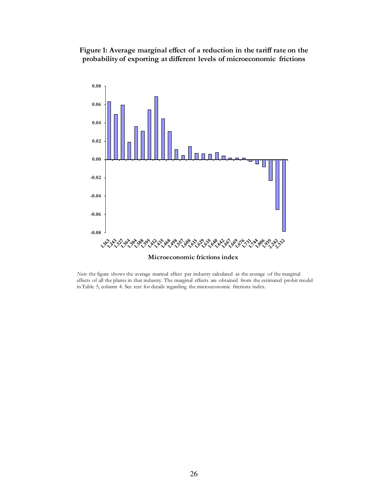**Figure 1: Average marginal effect of a reduction in the tariff rate on the probability of exporting at different levels of microeconomic frictions**



*Note*: the figure shows the average marinal effect per industry calculated as the average of the marginal effects of all the plants in that industry. The marginal effects are obtained from the estimated probit model in Table 5, column 4. See text for details regarding the microeconomic frictions index.